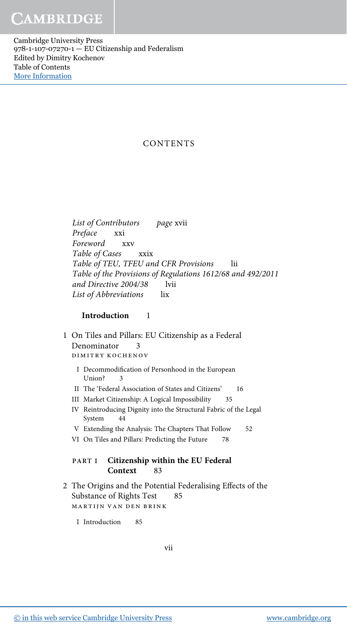Cambridge University Press 978-1-107-07270-1 — EU Citizenship and Federalism Edited by Dimitry Kochenov Table of Contents [More Information](www.cambridge.org/9781107072701)

# CONTENTS

List of Contributors page xvii Preface xxi Foreword xxv Table of Cases xxix Table of TEU, TFEU and CFR Provisions lii Table of the Provisions of Regulations 1612/68 and 492/2011 and Directive 2004/38 lvii List of Abbreviations lix

## Introduction 1

- 1 On Tiles and Pillars: EU Citizenship as a Federal Denominator 3 dimitry kochenov
	- I Decommodification of Personhood in the European Union? 3
	- II The 'Federal Association of States and Citizens' 16
	- III Market Citizenship: A Logical Impossibility 35
	- IV Reintroducing Dignity into the Structural Fabric of the Legal System 44
	- V Extending the Analysis: The Chapters That Follow 52
	- VI On Tiles and Pillars: Predicting the Future 78

## PART I Citizenship within the EU Federal Context 83

- 2 The Origins and the Potential Federalising Effects of the Substance of Rights Test 85 martijn van den brink
	- I Introduction 85

vii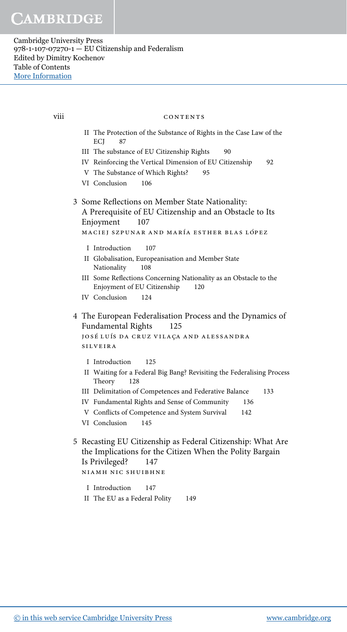viii

### CONTENTS

- II The Protection of the Substance of Rights in the Case Law of the ECI 87
- III The substance of EU Citizenship Rights  $90^{\circ}$
- IV Reinforcing the Vertical Dimension of EU Citizenship 92
- V The Substance of Which Rights? 95
- VI Conclusion 106
- 3 Some Reflections on Member State Nationality: A Prerequisite of EU Citizenship and an Obstacle to Its Enjoyment 107

```
MACIEJ SZPUNAR AND MARÍA ESTHER BLAS LÓPEZ
```
- 107 I Introduction
- II Globalisation, Europeanisation and Member State 108 Nationality
- III Some Reflections Concerning Nationality as an Obstacle to the Enjoyment of EU Citizenship 120
- IV Conclusion 124
- 4 The European Federalisation Process and the Dynamics of Fundamental Rights 125 JOSÉ LUÍS DA CRUZ VILAÇA AND ALESSANDRA

**SILVEIRA** 

- I Introduction 125
- II Waiting for a Federal Big Bang? Revisiting the Federalising Process Theory 128
- III Delimitation of Competences and Federative Balance 133
- IV Fundamental Rights and Sense of Community 136
- V Conflicts of Competence and System Survival 142
- VI Conclusion  $145$
- 5 Recasting EU Citizenship as Federal Citizenship: What Are the Implications for the Citizen When the Polity Bargain Is Privileged? 147 NIAMH NIC SHUIBHNE
	- I Introduction  $147$
	- II The EU as a Federal Polity 149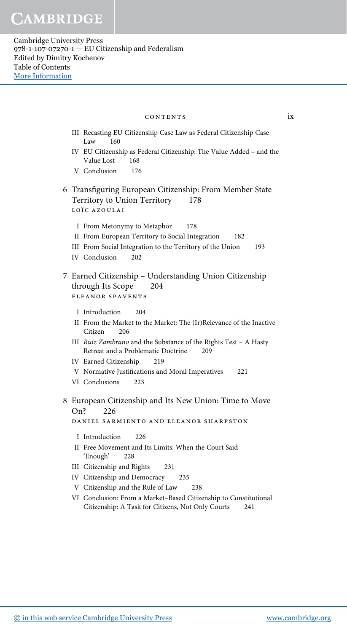#### CONTENTS

 $ix$ 

- III Recasting EU Citizenship Case Law as Federal Citizenship Case Law 160
- IV EU Citizenship as Federal Citizenship: The Value Added and the 168 Value Lost
- V Conclusion 176
- 6 Transfiguring European Citizenship: From Member State Territory to Union Territory 178 LOÏC AZOULAI
	- I From Metonymy to Metaphor 178
	- II From European Territory to Social Integration 182
	- III From Social Integration to the Territory of the Union 193
	- IV Conclusion 202
- 7 Earned Citizenship Understanding Union Citizenship through Its Scope 204 ELEANOR SPAVENTA
	- I Introduction 204
	- II From the Market to the Market: The (Ir)Relevance of the Inactive Citizen 206
	- III Ruiz Zambrano and the Substance of the Rights Test A Hasty Retreat and a Problematic Doctrine 209
	- IV Earned Citizenship 219
	- V Normative Justifications and Moral Imperatives  $22.1$
	- $223$ VI Conclusions
- 8 European Citizenship and Its New Union: Time to Move  $On<sub>5</sub>$ 226

DANIEL SARMIENTO AND ELEANOR SHARPSTON

- I Introduction  $226$
- II Free Movement and Its Limits: When the Court Said 'Enough' 228
- III Citizenship and Rights 231
- IV Citizenship and Democracy 235
- V Citizenship and the Rule of Law 238
- VI Conclusion: From a Market-Based Citizenship to Constitutional Citizenship: A Task for Citizens, Not Only Courts 241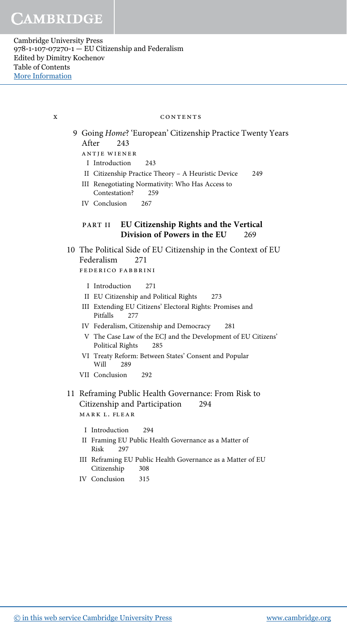### x CONTENTS

- 9 Going Home? 'European' Citizenship Practice Twenty Years After 243 antje wiener
	- I Introduction 243
	- II Citizenship Practice Theory A Heuristic Device 249
	- III Renegotiating Normativity: Who Has Access to Contestation? 259
	- IV Conclusion 267

## PART II EU Citizenship Rights and the Vertical Division of Powers in the EU 269

- 10 The Political Side of EU Citizenship in the Context of EU Federalism 271 federico fabbrini
	- I Introduction 271
	- II EU Citizenship and Political Rights 273
	- III Extending EU Citizens' Electoral Rights: Promises and Pitfalls 277
	- IV Federalism, Citizenship and Democracy 281
	- V The Case Law of the ECJ and the Development of EU Citizens' Political Rights 285
	- VI Treaty Reform: Between States' Consent and Popular Will 289
	- VII Conclusion 292
- 11 Reframing Public Health Governance: From Risk to Citizenship and Participation 294 mark l. flear
	- I Introduction 294
	- II Framing EU Public Health Governance as a Matter of Risk 297
	- III Reframing EU Public Health Governance as a Matter of EU Citizenship 308
	- IV Conclusion 315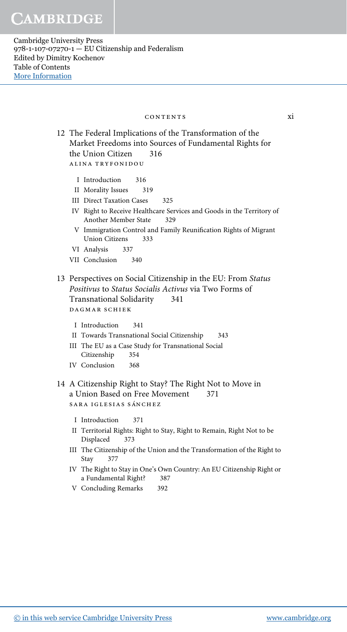## contents xi

12 The Federal Implications of the Transformation of the Market Freedoms into Sources of Fundamental Rights for the Union Citizen 316 alina tryfonidou

- I Introduction 316
- II Morality Issues 319
- III Direct Taxation Cases 325
- IV Right to Receive Healthcare Services and Goods in the Territory of Another Member State 329
- V Immigration Control and Family Reunification Rights of Migrant Union Citizens 333
- VI Analysis 337
- VII Conclusion 340

## 13 Perspectives on Social Citizenship in the EU: From Status Positivus to Status Socialis Activus via Two Forms of Transnational Solidarity 341 dagmar schiek

- I Introduction 341
- II Towards Transnational Social Citizenship 343
- III The EU as a Case Study for Transnational Social Citizenship 354
- IV Conclusion 368
- 14 A Citizenship Right to Stay? The Right Not to Move in a Union Based on Free Movement 371 SARA IGLESIAS SÁNCHEZ
	- I Introduction 371
	- II Territorial Rights: Right to Stay, Right to Remain, Right Not to be Displaced 373
	- III The Citizenship of the Union and the Transformation of the Right to Stay 377
	- IV The Right to Stay in One's Own Country: An EU Citizenship Right or a Fundamental Right? 387
	- V Concluding Remarks 392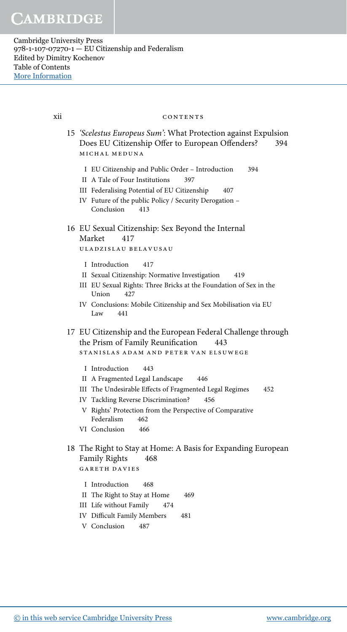xii

#### CONTENTS

- 15 'Scelestus Europeus Sum': What Protection against Expulsion Does EU Citizenship Offer to European Offenders? 394 MICHAL MEDUNA
	- I EU Citizenship and Public Order Introduction 394
	- II A Tale of Four Institutions 397
	- III Federalising Potential of EU Citizenship 407
	- IV Future of the public Policy / Security Derogation -413 Conclusion

#### 16 EU Sexual Citizenship: Sex Beyond the Internal Market 417

ULADZISLAU BELAVUSAU

- I Introduction 417
- II Sexual Citizenship: Normative Investigation 419
- III EU Sexual Rights: Three Bricks at the Foundation of Sex in the Union 427
- IV Conclusions: Mobile Citizenship and Sex Mobilisation via EU Law 441
- 17 EU Citizenship and the European Federal Challenge through the Prism of Family Reunification 443

STANISLAS ADAM AND PETER VAN ELSUWEGE

- I Introduction 443
- II A Fragmented Legal Landscape 446
- III The Undesirable Effects of Fragmented Legal Regimes 452
- IV Tackling Reverse Discrimination? 456
- V Rights' Protection from the Perspective of Comparative Federalism 462
- VI Conclusion 466
- 18 The Right to Stay at Home: A Basis for Expanding European Family Rights 468 **GARETH DAVIES** 
	- I Introduction 468
	- II The Right to Stay at Home 469
	- III Life without Family 474
	- **IV** Difficult Family Members 481
	- V Conclusion 487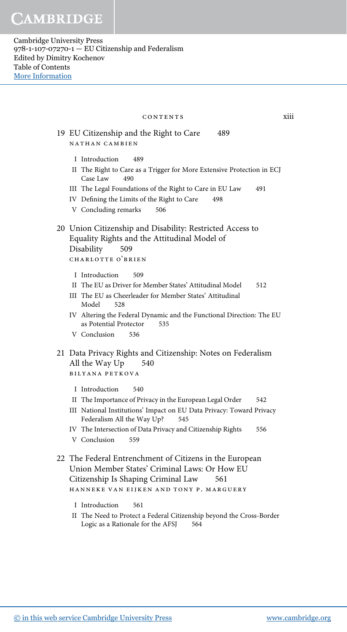| CONTENTS                                                                                                                                                                                                                                                                                             | xiii |
|------------------------------------------------------------------------------------------------------------------------------------------------------------------------------------------------------------------------------------------------------------------------------------------------------|------|
| 19 EU Citizenship and the Right to Care<br>489<br>NATHAN CAMBIEN                                                                                                                                                                                                                                     |      |
| I Introduction<br>489<br>II The Right to Care as a Trigger for More Extensive Protection in ECJ<br>Case Law<br>490<br>III The Legal Foundations of the Right to Care in EU Law<br>491<br>IV Defining the Limits of the Right to Care<br>498<br>V Concluding remarks<br>506                           |      |
| 20 Union Citizenship and Disability: Restricted Access to<br>Equality Rights and the Attitudinal Model of<br>Disability<br>509<br>CHARLOTTE O'BRIEN                                                                                                                                                  |      |
| I Introduction<br>509<br>II The EU as Driver for Member States' Attitudinal Model<br>512<br>III The EU as Cheerleader for Member States' Attitudinal<br>Model<br>528<br>IV Altering the Federal Dynamic and the Functional Direction: The EU<br>as Potential Protector<br>535<br>V Conclusion<br>536 |      |
| 21 Data Privacy Rights and Citizenship: Notes on Federalism<br>All the Way Up<br>540<br><b>BILYANA PETKOVA</b><br>I Introduction<br>540<br>II The Importance of Privacy in the European Legal Order<br>542                                                                                           |      |
| III National Institutions' Impact on EU Data Privacy: Toward Privacy<br>Federalism All the Way Up?<br>545<br>IV The Intersection of Data Privacy and Citizenship Rights<br>556<br>V Conclusion<br>559                                                                                                |      |
| 22 The Federal Entrenchment of Citizens in the European<br>Union Member States' Criminal Laws: Or How EU<br>Citizenship Is Shaping Criminal Law<br>561<br>HANNEKE VAN EIJKEN AND TONY P. MARGUERY                                                                                                    |      |
| I Introduction<br>561<br>II The Need to Protect a Federal Citizenship beyond the Cross-Border<br>Logic as a Rationale for the AFSJ<br>564                                                                                                                                                            |      |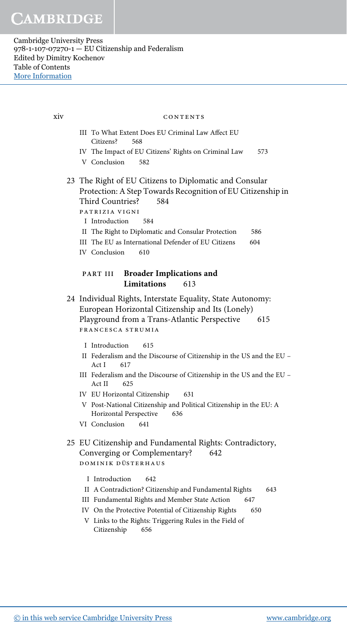III To What Extent Does EU Criminal Law Affect EU Citizens? 568 IV The Impact of EU Citizens' Rights on Criminal Law 573 V Conclusion 582 23 The Right of EU Citizens to Diplomatic and Consular Protection: A Step Towards Recognition of EU Citizenship in Third Countries? 584 patrizia vigni I Introduction 584 II The Right to Diplomatic and Consular Protection 586 III The EU as International Defender of EU Citizens 604 IV Conclusion 610 PART III Broader Implications and Limitations 613 24 Individual Rights, Interstate Equality, State Autonomy: European Horizontal Citizenship and Its (Lonely) Playground from a Trans-Atlantic Perspective 615 francesca strumia I Introduction 615 II Federalism and the Discourse of Citizenship in the US and the EU – Act I 617 III Federalism and the Discourse of Citizenship in the US and the EU – Act II 625 IV EU Horizontal Citizenship 631 V Post-National Citizenship and Political Citizenship in the EU: A Horizontal Perspective 636 VI Conclusion 641 25 EU Citizenship and Fundamental Rights: Contradictory, Converging or Complementary? 642 DOMINIK DÜSTERHAUS I Introduction 642 II A Contradiction? Citizenship and Fundamental Rights 643 III Fundamental Rights and Member State Action 647 IV On the Protective Potential of Citizenship Rights 650 V Links to the Rights: Triggering Rules in the Field of Citizenship 656 xiv contents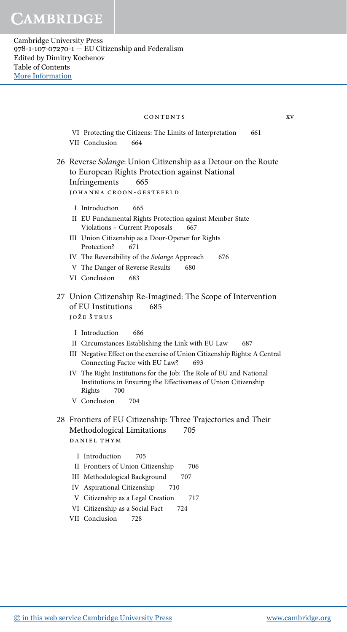VI Protecting the Citizens: The Limits of Interpretation 661 VII Conclusion 664 26 Reverse Solange: Union Citizenship as a Detour on the Route to European Rights Protection against National Infringements 665 johanna croon-gestefeld I Introduction 665 II EU Fundamental Rights Protection against Member State Violations - Current Proposals 667 III Union Citizenship as a Door-Opener for Rights Protection? 671 IV The Reversibility of the Solange Approach 676 V The Danger of Reverse Results 680 VI Conclusion 683 27 Union Citizenship Re-Imagined: The Scope of Intervention of EU Institutions 685 jože štrus I Introduction 686 II Circumstances Establishing the Link with EU Law 687 III Negative Effect on the exercise of Union Citizenship Rights: A Central Connecting Factor with EU Law? 693 IV The Right Institutions for the Job: The Role of EU and National Institutions in Ensuring the Effectiveness of Union Citizenship Rights 700 V Conclusion 704 28 Frontiers of EU Citizenship: Three Trajectories and Their Methodological Limitations 705 daniel thym I Introduction 705 II Frontiers of Union Citizenship 706 III Methodological Background 707 IV Aspirational Citizenship 710 V Citizenship as a Legal Creation 717 VI Citizenship as a Social Fact 724 contents xv

VII Conclusion 728